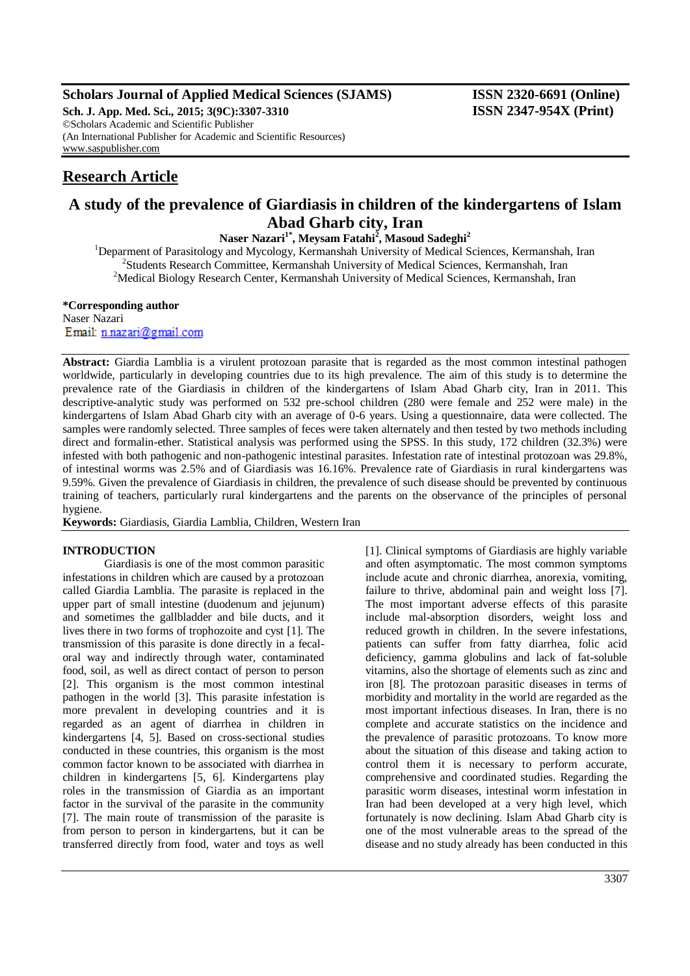## **Scholars Journal of Applied Medical Sciences (SJAMS) ISSN 2320-6691 (Online)**

**Sch. J. App. Med. Sci., 2015; 3(9C):3307-3310 ISSN 2347-954X (Print)** ©Scholars Academic and Scientific Publisher (An International Publisher for Academic and Scientific Resources) [www.saspublisher.com](http://www.saspublisher.com/)

# **Research Article**

# **A study of the prevalence of Giardiasis in children of the kindergartens of Islam Abad Gharb city, Iran**

**Naser Nazari1\* , Meysam Fatahi<sup>2</sup> , Masoud Sadeghi<sup>2</sup>**

<sup>1</sup>Deparment of Parasitology and Mycology, Kermanshah University of Medical Sciences, Kermanshah, Iran <sup>2</sup>Students Research Committee, Kermanshah University of Medical Sciences, Kermanshah, Iran <sup>2</sup>Medical Biology Research Center, Kermanshah University of Medical Sciences, Kermanshah, Iran

### **\*Corresponding author** Naser Nazari Email: n.nazari@gmail.com

**Abstract:** Giardia Lamblia is a virulent protozoan parasite that is regarded as the most common intestinal pathogen worldwide, particularly in developing countries due to its high prevalence. The aim of this study is to determine the prevalence rate of the Giardiasis in children of the kindergartens of Islam Abad Gharb city, Iran in 2011. This descriptive-analytic study was performed on 532 pre-school children (280 were female and 252 were male) in the kindergartens of Islam Abad Gharb city with an average of 0-6 years. Using a questionnaire, data were collected. The samples were randomly selected. Three samples of feces were taken alternately and then tested by two methods including direct and formalin-ether. Statistical analysis was performed using the SPSS. In this study, 172 children (32.3%) were infested with both pathogenic and non-pathogenic intestinal parasites. Infestation rate of intestinal protozoan was 29.8%, of intestinal worms was 2.5% and of Giardiasis was 16.16%. Prevalence rate of Giardiasis in rural kindergartens was 9.59%. Given the prevalence of Giardiasis in children, the prevalence of such disease should be prevented by continuous training of teachers, particularly rural kindergartens and the parents on the observance of the principles of personal hygiene.

**Keywords:** Giardiasis, Giardia Lamblia, Children, Western Iran

## **INTRODUCTION**

Giardiasis is one of the most common parasitic infestations in children which are caused by a protozoan called Giardia Lamblia. The parasite is replaced in the upper part of small intestine (duodenum and jejunum) and sometimes the gallbladder and bile ducts, and it lives there in two forms of trophozoite and cyst [1]. The transmission of this parasite is done directly in a fecaloral way and indirectly through water, contaminated food, soil, as well as direct contact of person to person [2]. This organism is the most common intestinal pathogen in the world [3]. This parasite infestation is more prevalent in developing countries and it is regarded as an agent of diarrhea in children in kindergartens [4, 5]. Based on cross-sectional studies conducted in these countries, this organism is the most common factor known to be associated with diarrhea in children in kindergartens [5, 6]. Kindergartens play roles in the transmission of Giardia as an important factor in the survival of the parasite in the community [7]. The main route of transmission of the parasite is from person to person in kindergartens, but it can be transferred directly from food, water and toys as well

[1]. Clinical symptoms of Giardiasis are highly variable and often asymptomatic. The most common symptoms include acute and chronic diarrhea, anorexia, vomiting, failure to thrive, abdominal pain and weight loss [7]. The most important adverse effects of this parasite include mal-absorption disorders, weight loss and reduced growth in children. In the severe infestations, patients can suffer from fatty diarrhea, folic acid deficiency, gamma globulins and lack of fat-soluble vitamins, also the shortage of elements such as zinc and iron [8]. The protozoan parasitic diseases in terms of morbidity and mortality in the world are regarded as the most important infectious diseases. In Iran, there is no complete and accurate statistics on the incidence and the prevalence of parasitic protozoans. To know more about the situation of this disease and taking action to control them it is necessary to perform accurate, comprehensive and coordinated studies. Regarding the parasitic worm diseases, intestinal worm infestation in Iran had been developed at a very high level, which fortunately is now declining. Islam Abad Gharb city is one of the most vulnerable areas to the spread of the disease and no study already has been conducted in this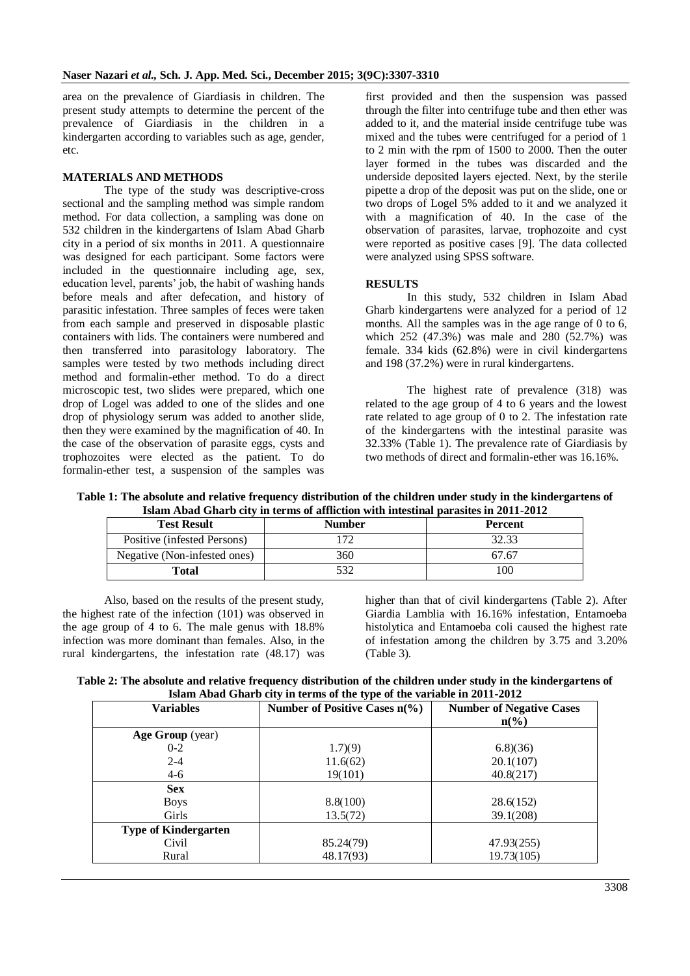area on the prevalence of Giardiasis in children. The present study attempts to determine the percent of the prevalence of Giardiasis in the children in a kindergarten according to variables such as age, gender, etc.

#### **MATERIALS AND METHODS**

The type of the study was descriptive-cross sectional and the sampling method was simple random method. For data collection, a sampling was done on 532 children in the kindergartens of Islam Abad Gharb city in a period of six months in 2011. A questionnaire was designed for each participant. Some factors were included in the questionnaire including age, sex, education level, parents' job, the habit of washing hands before meals and after defecation, and history of parasitic infestation. Three samples of feces were taken from each sample and preserved in disposable plastic containers with lids. The containers were numbered and then transferred into parasitology laboratory. The samples were tested by two methods including direct method and formalin-ether method. To do a direct microscopic test, two slides were prepared, which one drop of Logel was added to one of the slides and one drop of physiology serum was added to another slide, then they were examined by the magnification of 40. In the case of the observation of parasite eggs, cysts and trophozoites were elected as the patient. To do formalin-ether test, a suspension of the samples was

first provided and then the suspension was passed through the filter into centrifuge tube and then ether was added to it, and the material inside centrifuge tube was mixed and the tubes were centrifuged for a period of 1 to 2 min with the rpm of 1500 to 2000. Then the outer layer formed in the tubes was discarded and the underside deposited layers ejected. Next, by the sterile pipette a drop of the deposit was put on the slide, one or two drops of Logel 5% added to it and we analyzed it with a magnification of 40. In the case of the observation of parasites, larvae, trophozoite and cyst were reported as positive cases [9]. The data collected were analyzed using SPSS software.

### **RESULTS**

In this study, 532 children in Islam Abad Gharb kindergartens were analyzed for a period of 12 months. All the samples was in the age range of 0 to 6, which  $252$  (47.3%) was male and  $280$  (52.7%) was female. 334 kids (62.8%) were in civil kindergartens and 198 (37.2%) were in rural kindergartens.

The highest rate of prevalence (318) was related to the age group of 4 to 6 years and the lowest rate related to age group of 0 to 2. The infestation rate of the kindergartens with the intestinal parasite was 32.33% (Table 1). The prevalence rate of Giardiasis by two methods of direct and formalin-ether was 16.16%.

**Table 1: The absolute and relative frequency distribution of the children under study in the kindergartens of Islam Abad Gharb city in terms of affliction with intestinal parasites in 2011-2012**

| <b>Test Result</b>           | <b>Number</b> | <b>Percent</b> |
|------------------------------|---------------|----------------|
| Positive (infested Persons)  |               | 32.33          |
| Negative (Non-infested ones) | 360           | 67.67          |
| Total                        |               | 00             |

Also, based on the results of the present study, the highest rate of the infection (101) was observed in the age group of 4 to 6. The male genus with 18.8% infection was more dominant than females. Also, in the rural kindergartens, the infestation rate (48.17) was

higher than that of civil kindergartens (Table 2). After Giardia Lamblia with 16.16% infestation, Entamoeba histolytica and Entamoeba coli caused the highest rate of infestation among the children by 3.75 and 3.20% (Table 3).

**Table 2: The absolute and relative frequency distribution of the children under study in the kindergartens of Islam Abad Gharb city in terms of the type of the variable in 2011-2012**

| <b>Variables</b>            | Number of Positive Cases $n\frac{6}{6}$ | <b>Number of Negative Cases</b><br>$n\left(\frac{6}{6}\right)$ |
|-----------------------------|-----------------------------------------|----------------------------------------------------------------|
| Age Group (year)            |                                         |                                                                |
| $0 - 2$                     | 1.7(9)                                  | 6.8(36)                                                        |
| $2 - 4$                     | 11.6(62)                                | 20.1(107)                                                      |
| $4 - 6$                     | 19(101)                                 | 40.8(217)                                                      |
| <b>Sex</b>                  |                                         |                                                                |
| <b>Boys</b>                 | 8.8(100)                                | 28.6(152)                                                      |
| <b>Girls</b>                | 13.5(72)                                | 39.1(208)                                                      |
| <b>Type of Kindergarten</b> |                                         |                                                                |
| Civil                       | 85.24(79)                               | 47.93(255)                                                     |
| Rural                       | 48.17(93)                               | 19.73(105)                                                     |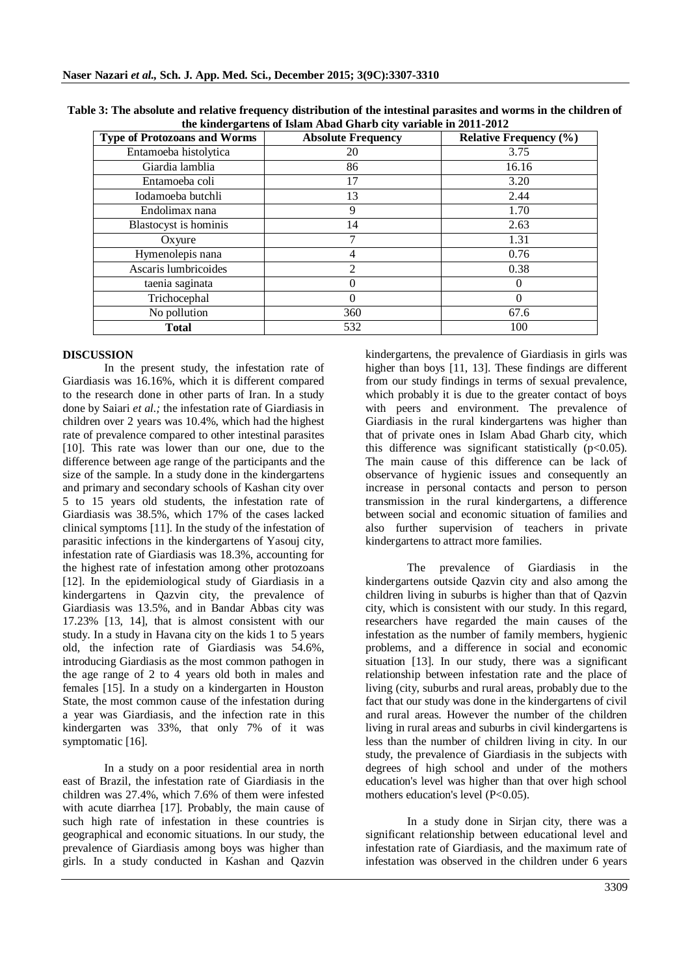| <b>Type of Protozoans and Worms</b> | <b>Absolute Frequency</b> | <b>Relative Frequency (%)</b> |
|-------------------------------------|---------------------------|-------------------------------|
| Entamoeba histolytica               | 20                        | 3.75                          |
| Giardia lamblia                     | 86                        | 16.16                         |
| Entamoeba coli                      | 17                        | 3.20                          |
| Iodamoeba butchli                   | 13                        | 2.44                          |
| Endolimax nana                      | 9                         | 1.70                          |
| Blastocyst is hominis               | 14                        | 2.63                          |
| Oxyure                              |                           | 1.31                          |
| Hymenolepis nana                    | 4                         | 0.76                          |
| Ascaris lumbricoides                | $\overline{c}$            | 0.38                          |
| taenia saginata                     | $\Omega$                  | $\theta$                      |
| Trichocephal                        |                           |                               |
| No pollution                        | 360                       | 67.6                          |
| <b>Total</b>                        | 532                       | 100                           |

**Table 3: The absolute and relative frequency distribution of the intestinal parasites and worms in the children of the kindergartens of Islam Abad Gharb city variable in 2011-2012**

### **DISCUSSION**

In the present study, the infestation rate of Giardiasis was 16.16%, which it is different compared to the research done in other parts of Iran. In a study done by Saiari *et al.;* the infestation rate of Giardiasis in children over 2 years was 10.4%, which had the highest rate of prevalence compared to other intestinal parasites [10]. This rate was lower than our one, due to the difference between age range of the participants and the size of the sample. In a study done in the kindergartens and primary and secondary schools of Kashan city over 5 to 15 years old students, the infestation rate of Giardiasis was 38.5%, which 17% of the cases lacked clinical symptoms [11]. In the study of the infestation of parasitic infections in the kindergartens of Yasouj city, infestation rate of Giardiasis was 18.3%, accounting for the highest rate of infestation among other protozoans [12]. In the epidemiological study of Giardiasis in a kindergartens in Qazvin city, the prevalence of Giardiasis was 13.5%, and in Bandar Abbas city was 17.23% [13, 14], that is almost consistent with our study. In a study in Havana city on the kids 1 to 5 years old, the infection rate of Giardiasis was 54.6%, introducing Giardiasis as the most common pathogen in the age range of 2 to 4 years old both in males and females [15]. In a study on a kindergarten in Houston State, the most common cause of the infestation during a year was Giardiasis, and the infection rate in this kindergarten was 33%, that only 7% of it was symptomatic [16].

In a study on a poor residential area in north east of Brazil, the infestation rate of Giardiasis in the children was 27.4%, which 7.6% of them were infested with acute diarrhea [17]. Probably, the main cause of such high rate of infestation in these countries is geographical and economic situations. In our study, the prevalence of Giardiasis among boys was higher than girls. In a study conducted in Kashan and Qazvin

kindergartens, the prevalence of Giardiasis in girls was higher than boys [11, 13]. These findings are different from our study findings in terms of sexual prevalence, which probably it is due to the greater contact of boys with peers and environment. The prevalence of Giardiasis in the rural kindergartens was higher than that of private ones in Islam Abad Gharb city, which this difference was significant statistically  $(p<0.05)$ . The main cause of this difference can be lack of observance of hygienic issues and consequently an increase in personal contacts and person to person transmission in the rural kindergartens, a difference between social and economic situation of families and also further supervision of teachers in private kindergartens to attract more families.

The prevalence of Giardiasis in the kindergartens outside Qazvin city and also among the children living in suburbs is higher than that of Qazvin city, which is consistent with our study. In this regard, researchers have regarded the main causes of the infestation as the number of family members, hygienic problems, and a difference in social and economic situation [13]. In our study, there was a significant relationship between infestation rate and the place of living (city, suburbs and rural areas, probably due to the fact that our study was done in the kindergartens of civil and rural areas. However the number of the children living in rural areas and suburbs in civil kindergartens is less than the number of children living in city. In our study, the prevalence of Giardiasis in the subjects with degrees of high school and under of the mothers education's level was higher than that over high school mothers education's level (P<0.05).

In a study done in Sirjan city, there was a significant relationship between educational level and infestation rate of Giardiasis, and the maximum rate of infestation was observed in the children under 6 years